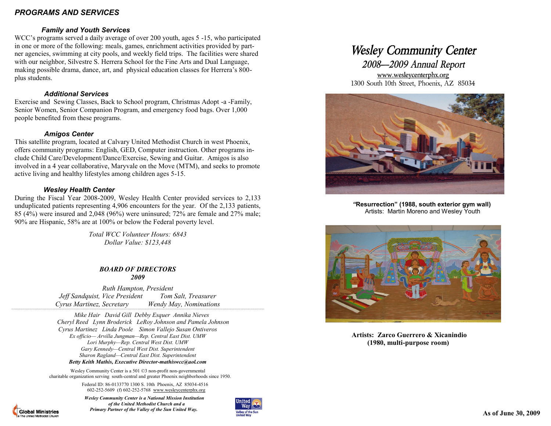# *PROGRAMS AND SERVICES*

## *Family and Youth Services*

WCC's programs served a daily average of over 200 youth, ages 5 -15, who participated in one or more of the following: meals, games, enrichment activities provided by partner agencies, swimming at city pools, and weekly field trips. The facilities were shared with our neighbor, Silvestre S. Herrera School for the Fine Arts and Dual Language, making possible drama, dance, art, and physical education classes for Herrera's 800 plus students.

### *Additional Services*

Exercise and Sewing Classes, Back to School program, Christmas Adopt -a -Family, Senior Women, Senior Companion Program, and emergency food bags. Over 1,000 people benefited from these programs.

## *Amigos Center*

This satellite program, located at Calvary United Methodist Church in west Phoenix, offers community programs: English, GED, Computer instruction. Other programs include Child Care/Development/Dance/Exercise, Sewing and Guitar. Amigos is also involved in a 4 year collaborative, Maryvale on the Move (MTM), and seeks to promote active living and healthy lifestyles among children ages 5-15.

## *Wesley Health Center*

**Global Ministries** 

During the Fiscal Year 2008-2009, Wesley Health Center provided services to 2,133 unduplicated patients representing 4,906 encounters for the year. Of the 2,133 patients, 85 (4%) were insured and 2,048 (96%) were uninsured; 72% are female and 27% male; 90% are Hispanic, 58% are at 100% or below the Federal poverty level.

> *Total WCC Volunteer Hours: 6843 Dollar Value: \$123,448*

#### *BOARD OF DIRECTORS 2009*

*Ruth Hampton, President Jeff Sandquist, Vice President Tom Salt, Treasurer Cyrus Martinez, Secretary Wendy May, Nominations* 

*`````````````````````````````````````````````````````````````````````````````````````````````````````````````````````````````````````````````````````````````````````````````````````````````````````````````````````````````````````````````````````````````````````````````````*

 *Mike Hair David Gill Debby Esquer Annika Nieves Cheryl Reed Lynn Broderick LeRoy Johnson and Pamela Johnson Cyrus Martinez Linda Poole Simon Vallejo Susan Ontiveros Ex officio— Arvilla Jungman—Rep. Central East Dist. UMW Lori Murphy—Rep. Central West Dist. UMW Gary Kennedy—Central West Dist. Superintendent Sharon Ragland—Central East Dist. Superintendent Betty Keith Mathis, Executive Director-mathiswcc@aol.com*

Wesley Community Center is a 501 ©3 non-profit non-governmental charitable organization serving south-central and greater Phoenix neighborhoods since 1950.

> Federal ID: 86-0133770 1300 S. 10th Phoenix, AZ 85034-4516 602-252-5609 (f) 602-252-5768 www.wesleycenterphx.org

 *Wesley Community Center is a National Mission Institution of the United Methodist Church and a Primary Partner of the Valley of the Sun United Way.*



# *Wesley Community Center*

*2008—2009 Annual Report* www.wesleycenterphx.org 1300 South 10th Street, Phoenix, AZ 85034



 *"***Resurrection" (1988, south exterior gym wall)**  Artists: Martin Moreno and Wesley Youth



 **Artists: Zarco Guerrero & Xicanindio (1980, multi-purpose room)**